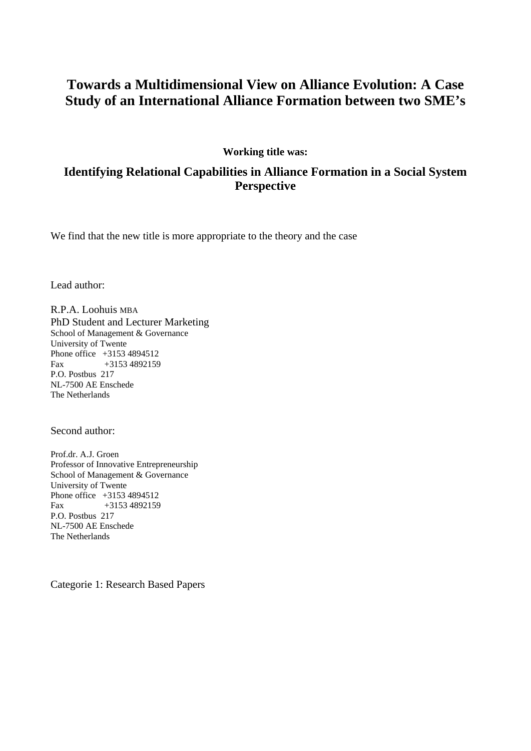# **Towards a Multidimensional View on Alliance Evolution: A Case Study of an International Alliance Formation between two SME's**

### **Working title was:**

# **Identifying Relational Capabilities in Alliance Formation in a Social System Perspective**

We find that the new title is more appropriate to the theory and the case

Lead author:

R.P.A. Loohuis MBA PhD Student and Lecturer Marketing School of Management & Governance University of Twente Phone office +3153 4894512 Fax +3153 4892159 P.O. Postbus 217 NL-7500 AE Enschede The Netherlands

Second author:

Prof.dr. A.J. Groen Professor of Innovative Entrepreneurship School of Management & Governance University of Twente Phone office +3153 4894512 Fax +3153 4892159 P.O. Postbus 217 NL-7500 AE Enschede The Netherlands

Categorie 1: Research Based Papers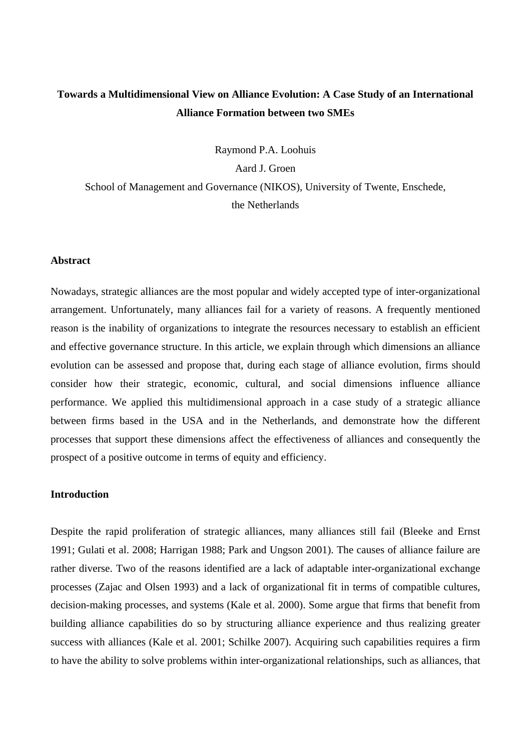# **Towards a Multidimensional View on Alliance Evolution: A Case Study of an International Alliance Formation between two SMEs**

Raymond P.A. Loohuis

Aard J. Groen

School of Management and Governance (NIKOS), University of Twente, Enschede, the Netherlands

#### **Abstract**

Nowadays, strategic alliances are the most popular and widely accepted type of inter-organizational arrangement. Unfortunately, many alliances fail for a variety of reasons. A frequently mentioned reason is the inability of organizations to integrate the resources necessary to establish an efficient and effective governance structure. In this article, we explain through which dimensions an alliance evolution can be assessed and propose that, during each stage of alliance evolution, firms should consider how their strategic, economic, cultural, and social dimensions influence alliance performance. We applied this multidimensional approach in a case study of a strategic alliance between firms based in the USA and in the Netherlands, and demonstrate how the different processes that support these dimensions affect the effectiveness of alliances and consequently the prospect of a positive outcome in terms of equity and efficiency.

## **Introduction**

Despite the rapid proliferation of strategic alliances, many alliances still fail (Bleeke and Ernst 1991; Gulati et al. 2008; Harrigan 1988; Park and Ungson 2001). The causes of alliance failure are rather diverse. Two of the reasons identified are a lack of adaptable inter-organizational exchange processes (Zajac and Olsen 1993) and a lack of organizational fit in terms of compatible cultures, decision-making processes, and systems (Kale et al. 2000). Some argue that firms that benefit from building alliance capabilities do so by structuring alliance experience and thus realizing greater success with alliances (Kale et al. 2001; Schilke 2007). Acquiring such capabilities requires a firm to have the ability to solve problems within inter-organizational relationships, such as alliances, that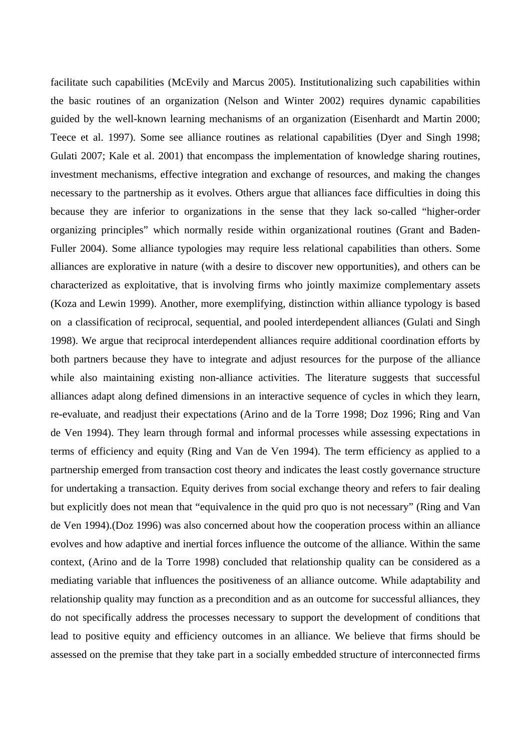facilitate such capabilities (McEvily and Marcus 2005). Institutionalizing such capabilities within the basic routines of an organization (Nelson and Winter 2002) requires dynamic capabilities guided by the well-known learning mechanisms of an organization (Eisenhardt and Martin 2000; Teece et al. 1997). Some see alliance routines as relational capabilities (Dyer and Singh 1998; Gulati 2007; Kale et al. 2001) that encompass the implementation of knowledge sharing routines, investment mechanisms, effective integration and exchange of resources, and making the changes necessary to the partnership as it evolves. Others argue that alliances face difficulties in doing this because they are inferior to organizations in the sense that they lack so-called "higher-order organizing principles" which normally reside within organizational routines (Grant and Baden-Fuller 2004). Some alliance typologies may require less relational capabilities than others. Some alliances are explorative in nature (with a desire to discover new opportunities), and others can be characterized as exploitative, that is involving firms who jointly maximize complementary assets (Koza and Lewin 1999). Another, more exemplifying, distinction within alliance typology is based on a classification of reciprocal, sequential, and pooled interdependent alliances (Gulati and Singh 1998). We argue that reciprocal interdependent alliances require additional coordination efforts by both partners because they have to integrate and adjust resources for the purpose of the alliance while also maintaining existing non-alliance activities. The literature suggests that successful alliances adapt along defined dimensions in an interactive sequence of cycles in which they learn, re-evaluate, and readjust their expectations (Arino and de la Torre 1998; Doz 1996; Ring and Van de Ven 1994). They learn through formal and informal processes while assessing expectations in terms of efficiency and equity (Ring and Van de Ven 1994). The term efficiency as applied to a partnership emerged from transaction cost theory and indicates the least costly governance structure for undertaking a transaction. Equity derives from social exchange theory and refers to fair dealing but explicitly does not mean that "equivalence in the quid pro quo is not necessary" (Ring and Van de Ven 1994).(Doz 1996) was also concerned about how the cooperation process within an alliance evolves and how adaptive and inertial forces influence the outcome of the alliance. Within the same context, (Arino and de la Torre 1998) concluded that relationship quality can be considered as a mediating variable that influences the positiveness of an alliance outcome. While adaptability and relationship quality may function as a precondition and as an outcome for successful alliances, they do not specifically address the processes necessary to support the development of conditions that lead to positive equity and efficiency outcomes in an alliance. We believe that firms should be assessed on the premise that they take part in a socially embedded structure of interconnected firms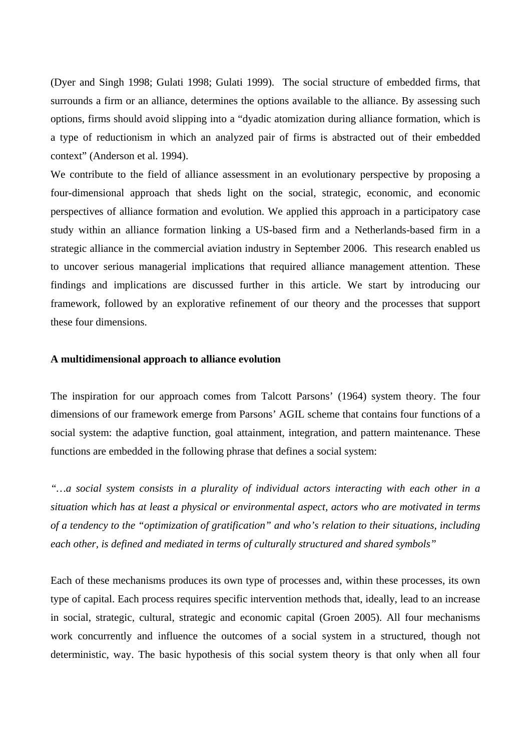(Dyer and Singh 1998; Gulati 1998; Gulati 1999). The social structure of embedded firms, that surrounds a firm or an alliance, determines the options available to the alliance. By assessing such options, firms should avoid slipping into a "dyadic atomization during alliance formation, which is a type of reductionism in which an analyzed pair of firms is abstracted out of their embedded context" (Anderson et al. 1994).

We contribute to the field of alliance assessment in an evolutionary perspective by proposing a four-dimensional approach that sheds light on the social, strategic, economic, and economic perspectives of alliance formation and evolution. We applied this approach in a participatory case study within an alliance formation linking a US-based firm and a Netherlands-based firm in a strategic alliance in the commercial aviation industry in September 2006. This research enabled us to uncover serious managerial implications that required alliance management attention. These findings and implications are discussed further in this article. We start by introducing our framework, followed by an explorative refinement of our theory and the processes that support these four dimensions.

#### **A multidimensional approach to alliance evolution**

The inspiration for our approach comes from Talcott Parsons' (1964) system theory. The four dimensions of our framework emerge from Parsons' AGIL scheme that contains four functions of a social system: the adaptive function, goal attainment, integration, and pattern maintenance. These functions are embedded in the following phrase that defines a social system:

*"…a social system consists in a plurality of individual actors interacting with each other in a situation which has at least a physical or environmental aspect, actors who are motivated in terms of a tendency to the "optimization of gratification" and who's relation to their situations, including each other, is defined and mediated in terms of culturally structured and shared symbols"* 

Each of these mechanisms produces its own type of processes and, within these processes, its own type of capital. Each process requires specific intervention methods that, ideally, lead to an increase in social, strategic, cultural, strategic and economic capital (Groen 2005). All four mechanisms work concurrently and influence the outcomes of a social system in a structured, though not deterministic, way. The basic hypothesis of this social system theory is that only when all four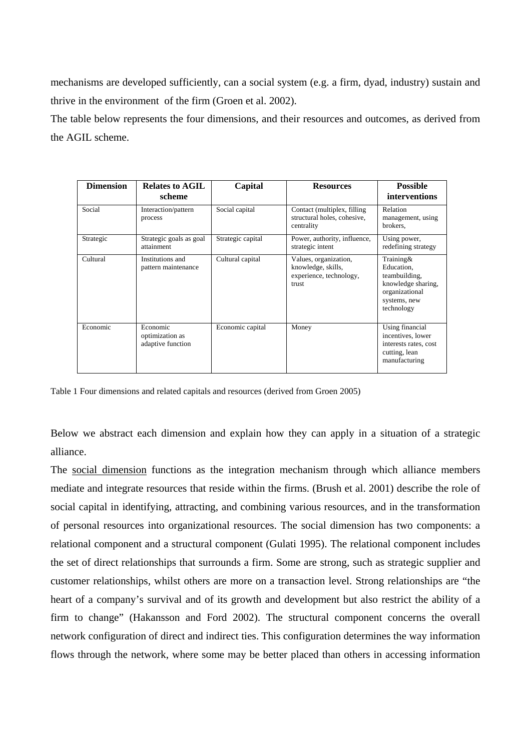mechanisms are developed sufficiently, can a social system (e.g. a firm, dyad, industry) sustain and thrive in the environment of the firm (Groen et al. 2002).

The table below represents the four dimensions, and their resources and outcomes, as derived from the AGIL scheme.

| <b>Dimension</b> | <b>Relates to AGIL</b><br>scheme                 | Capital           | <b>Resources</b>                                                                | <b>Possible</b><br>interventions                                                                               |
|------------------|--------------------------------------------------|-------------------|---------------------------------------------------------------------------------|----------------------------------------------------------------------------------------------------------------|
| Social           | Interaction/pattern<br>process                   | Social capital    | Contact (multiplex, filling)<br>structural holes, cohesive,<br>centrality       | Relation<br>management, using<br>brokers.                                                                      |
| Strategic        | Strategic goals as goal<br>attainment            | Strategic capital | Power, authority, influence,<br>strategic intent                                | Using power,<br>redefining strategy                                                                            |
| Cultural         | Institutions and<br>pattern maintenance          | Cultural capital  | Values, organization,<br>knowledge, skills,<br>experience, technology,<br>trust | Training&<br>Education,<br>teambuilding,<br>knowledge sharing,<br>organizational<br>systems, new<br>technology |
| Economic         | Economic<br>optimization as<br>adaptive function | Economic capital  | Money                                                                           | Using financial<br>incentives, lower<br>interests rates, cost<br>cutting, lean<br>manufacturing                |

Table 1 Four dimensions and related capitals and resources (derived from Groen 2005)

Below we abstract each dimension and explain how they can apply in a situation of a strategic alliance.

The social dimension functions as the integration mechanism through which alliance members mediate and integrate resources that reside within the firms. (Brush et al. 2001) describe the role of social capital in identifying, attracting, and combining various resources, and in the transformation of personal resources into organizational resources. The social dimension has two components: a relational component and a structural component (Gulati 1995). The relational component includes the set of direct relationships that surrounds a firm. Some are strong, such as strategic supplier and customer relationships, whilst others are more on a transaction level. Strong relationships are "the heart of a company's survival and of its growth and development but also restrict the ability of a firm to change" (Hakansson and Ford 2002). The structural component concerns the overall network configuration of direct and indirect ties. This configuration determines the way information flows through the network, where some may be better placed than others in accessing information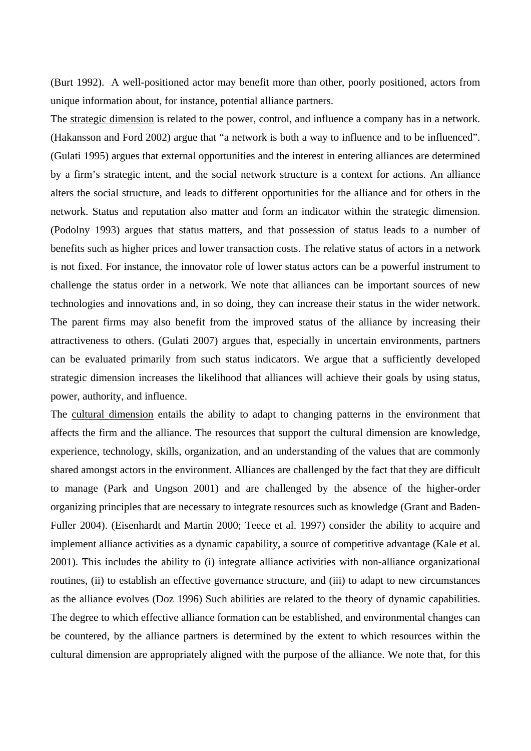(Burt 1992). A well-positioned actor may benefit more than other, poorly positioned, actors from unique information about, for instance, potential alliance partners.

The strategic dimension is related to the power, control, and influence a company has in a network. (Hakansson and Ford 2002) argue that "a network is both a way to influence and to be influenced". (Gulati 1995) argues that external opportunities and the interest in entering alliances are determined by a firm's strategic intent, and the social network structure is a context for actions. An alliance alters the social structure, and leads to different opportunities for the alliance and for others in the network. Status and reputation also matter and form an indicator within the strategic dimension. (Podolny 1993) argues that status matters, and that possession of status leads to a number of benefits such as higher prices and lower transaction costs. The relative status of actors in a network is not fixed. For instance, the innovator role of lower status actors can be a powerful instrument to challenge the status order in a network. We note that alliances can be important sources of new technologies and innovations and, in so doing, they can increase their status in the wider network. The parent firms may also benefit from the improved status of the alliance by increasing their attractiveness to others. (Gulati 2007) argues that, especially in uncertain environments, partners can be evaluated primarily from such status indicators. We argue that a sufficiently developed strategic dimension increases the likelihood that alliances will achieve their goals by using status, power, authority, and influence.

The cultural dimension entails the ability to adapt to changing patterns in the environment that affects the firm and the alliance. The resources that support the cultural dimension are knowledge, experience, technology, skills, organization, and an understanding of the values that are commonly shared amongst actors in the environment. Alliances are challenged by the fact that they are difficult to manage (Park and Ungson 2001) and are challenged by the absence of the higher-order organizing principles that are necessary to integrate resources such as knowledge (Grant and Baden-Fuller 2004). (Eisenhardt and Martin 2000; Teece et al. 1997) consider the ability to acquire and implement alliance activities as a dynamic capability, a source of competitive advantage (Kale et al. 2001). This includes the ability to (i) integrate alliance activities with non-alliance organizational routines, (ii) to establish an effective governance structure, and (iii) to adapt to new circumstances as the alliance evolves (Doz 1996) Such abilities are related to the theory of dynamic capabilities. The degree to which effective alliance formation can be established, and environmental changes can be countered, by the alliance partners is determined by the extent to which resources within the cultural dimension are appropriately aligned with the purpose of the alliance. We note that, for this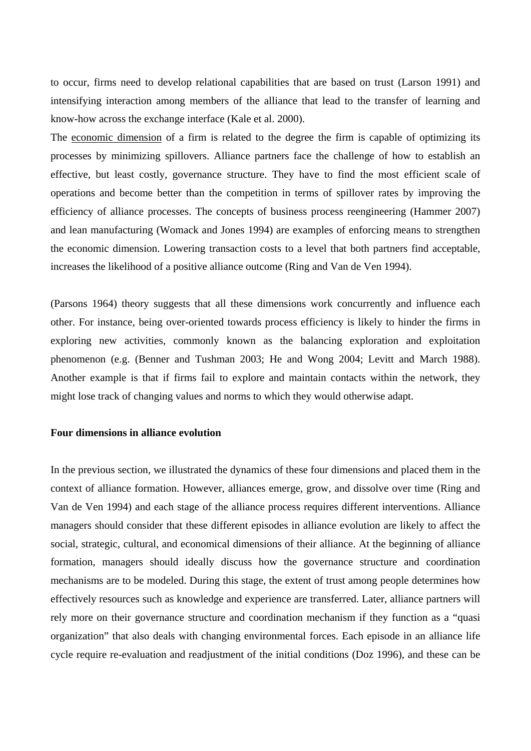to occur, firms need to develop relational capabilities that are based on trust (Larson 1991) and intensifying interaction among members of the alliance that lead to the transfer of learning and know-how across the exchange interface (Kale et al. 2000).

The economic dimension of a firm is related to the degree the firm is capable of optimizing its processes by minimizing spillovers. Alliance partners face the challenge of how to establish an effective, but least costly, governance structure. They have to find the most efficient scale of operations and become better than the competition in terms of spillover rates by improving the efficiency of alliance processes. The concepts of business process reengineering (Hammer 2007) and lean manufacturing (Womack and Jones 1994) are examples of enforcing means to strengthen the economic dimension. Lowering transaction costs to a level that both partners find acceptable, increases the likelihood of a positive alliance outcome (Ring and Van de Ven 1994).

(Parsons 1964) theory suggests that all these dimensions work concurrently and influence each other. For instance, being over-oriented towards process efficiency is likely to hinder the firms in exploring new activities, commonly known as the balancing exploration and exploitation phenomenon (e.g. (Benner and Tushman 2003; He and Wong 2004; Levitt and March 1988). Another example is that if firms fail to explore and maintain contacts within the network, they might lose track of changing values and norms to which they would otherwise adapt.

#### **Four dimensions in alliance evolution**

In the previous section, we illustrated the dynamics of these four dimensions and placed them in the context of alliance formation. However, alliances emerge, grow, and dissolve over time (Ring and Van de Ven 1994) and each stage of the alliance process requires different interventions. Alliance managers should consider that these different episodes in alliance evolution are likely to affect the social, strategic, cultural, and economical dimensions of their alliance. At the beginning of alliance formation, managers should ideally discuss how the governance structure and coordination mechanisms are to be modeled. During this stage, the extent of trust among people determines how effectively resources such as knowledge and experience are transferred. Later, alliance partners will rely more on their governance structure and coordination mechanism if they function as a "quasi organization" that also deals with changing environmental forces. Each episode in an alliance life cycle require re-evaluation and readjustment of the initial conditions (Doz 1996), and these can be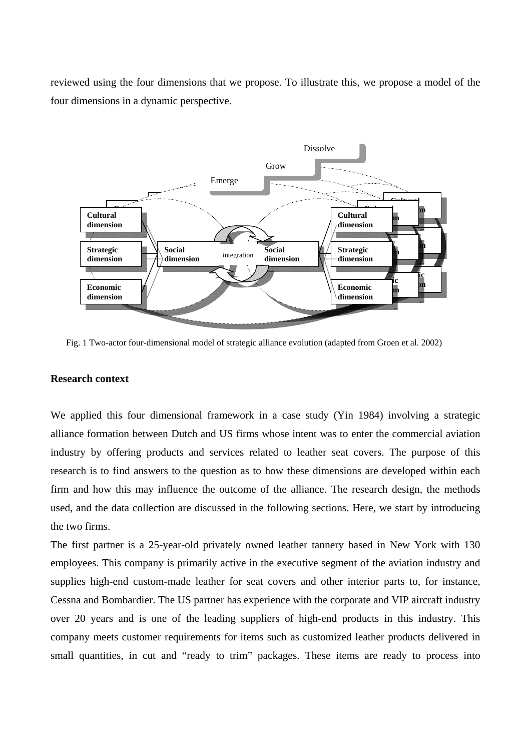reviewed using the four dimensions that we propose. To illustrate this, we propose a model of the four dimensions in a dynamic perspective.



Fig. 1 Two-actor four-dimensional model of strategic alliance evolution (adapted from Groen et al. 2002)

### **Research context**

We applied this four dimensional framework in a case study (Yin 1984) involving a strategic alliance formation between Dutch and US firms whose intent was to enter the commercial aviation industry by offering products and services related to leather seat covers. The purpose of this research is to find answers to the question as to how these dimensions are developed within each firm and how this may influence the outcome of the alliance. The research design, the methods used, and the data collection are discussed in the following sections. Here, we start by introducing the two firms.

The first partner is a 25-year-old privately owned leather tannery based in New York with 130 employees. This company is primarily active in the executive segment of the aviation industry and supplies high-end custom-made leather for seat covers and other interior parts to, for instance, Cessna and Bombardier. The US partner has experience with the corporate and VIP aircraft industry over 20 years and is one of the leading suppliers of high-end products in this industry. This company meets customer requirements for items such as customized leather products delivered in small quantities, in cut and "ready to trim" packages. These items are ready to process into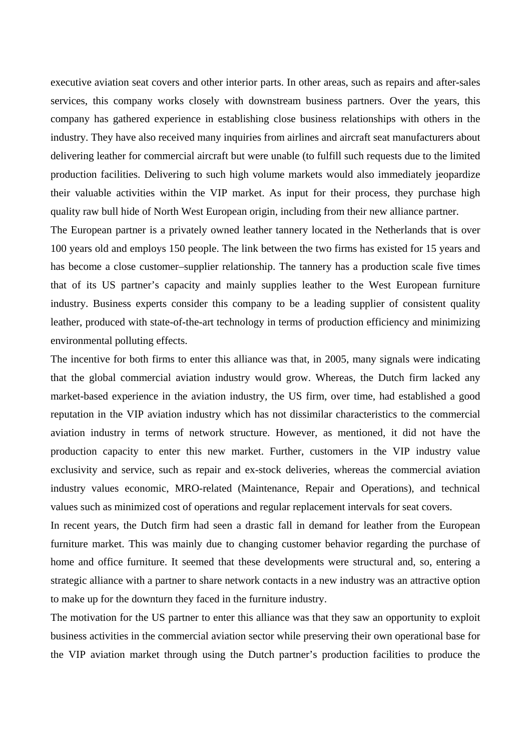executive aviation seat covers and other interior parts. In other areas, such as repairs and after-sales services, this company works closely with downstream business partners. Over the years, this company has gathered experience in establishing close business relationships with others in the industry. They have also received many inquiries from airlines and aircraft seat manufacturers about delivering leather for commercial aircraft but were unable (to fulfill such requests due to the limited production facilities. Delivering to such high volume markets would also immediately jeopardize their valuable activities within the VIP market. As input for their process, they purchase high quality raw bull hide of North West European origin, including from their new alliance partner.

The European partner is a privately owned leather tannery located in the Netherlands that is over 100 years old and employs 150 people. The link between the two firms has existed for 15 years and has become a close customer–supplier relationship. The tannery has a production scale five times that of its US partner's capacity and mainly supplies leather to the West European furniture industry. Business experts consider this company to be a leading supplier of consistent quality leather, produced with state-of-the-art technology in terms of production efficiency and minimizing environmental polluting effects.

The incentive for both firms to enter this alliance was that, in 2005, many signals were indicating that the global commercial aviation industry would grow. Whereas, the Dutch firm lacked any market-based experience in the aviation industry, the US firm, over time, had established a good reputation in the VIP aviation industry which has not dissimilar characteristics to the commercial aviation industry in terms of network structure. However, as mentioned, it did not have the production capacity to enter this new market. Further, customers in the VIP industry value exclusivity and service, such as repair and ex-stock deliveries, whereas the commercial aviation industry values economic, MRO-related (Maintenance, Repair and Operations), and technical values such as minimized cost of operations and regular replacement intervals for seat covers.

In recent years, the Dutch firm had seen a drastic fall in demand for leather from the European furniture market. This was mainly due to changing customer behavior regarding the purchase of home and office furniture. It seemed that these developments were structural and, so, entering a strategic alliance with a partner to share network contacts in a new industry was an attractive option to make up for the downturn they faced in the furniture industry.

The motivation for the US partner to enter this alliance was that they saw an opportunity to exploit business activities in the commercial aviation sector while preserving their own operational base for the VIP aviation market through using the Dutch partner's production facilities to produce the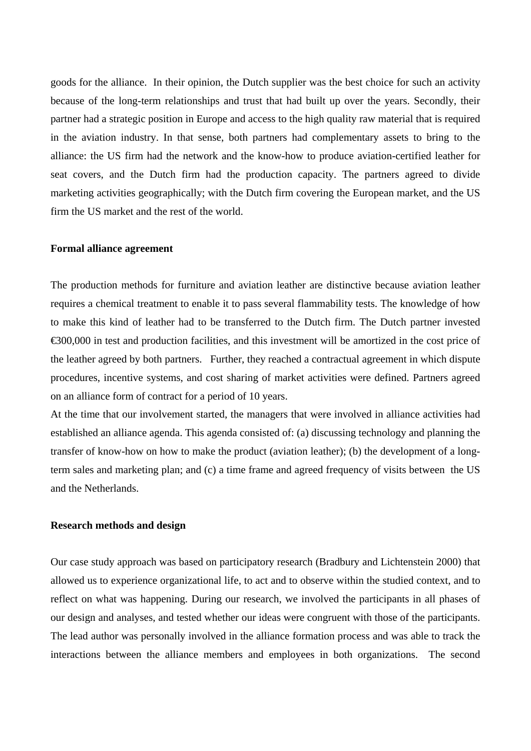goods for the alliance. In their opinion, the Dutch supplier was the best choice for such an activity because of the long-term relationships and trust that had built up over the years. Secondly, their partner had a strategic position in Europe and access to the high quality raw material that is required in the aviation industry. In that sense, both partners had complementary assets to bring to the alliance: the US firm had the network and the know-how to produce aviation-certified leather for seat covers, and the Dutch firm had the production capacity. The partners agreed to divide marketing activities geographically; with the Dutch firm covering the European market, and the US firm the US market and the rest of the world.

# **Formal alliance agreement**

The production methods for furniture and aviation leather are distinctive because aviation leather requires a chemical treatment to enable it to pass several flammability tests. The knowledge of how to make this kind of leather had to be transferred to the Dutch firm. The Dutch partner invested €300,000 in test and production facilities, and this investment will be amortized in the cost price of the leather agreed by both partners. Further, they reached a contractual agreement in which dispute procedures, incentive systems, and cost sharing of market activities were defined. Partners agreed on an alliance form of contract for a period of 10 years.

At the time that our involvement started, the managers that were involved in alliance activities had established an alliance agenda. This agenda consisted of: (a) discussing technology and planning the transfer of know-how on how to make the product (aviation leather); (b) the development of a longterm sales and marketing plan; and (c) a time frame and agreed frequency of visits between the US and the Netherlands.

#### **Research methods and design**

Our case study approach was based on participatory research (Bradbury and Lichtenstein 2000) that allowed us to experience organizational life, to act and to observe within the studied context, and to reflect on what was happening. During our research, we involved the participants in all phases of our design and analyses, and tested whether our ideas were congruent with those of the participants. The lead author was personally involved in the alliance formation process and was able to track the interactions between the alliance members and employees in both organizations. The second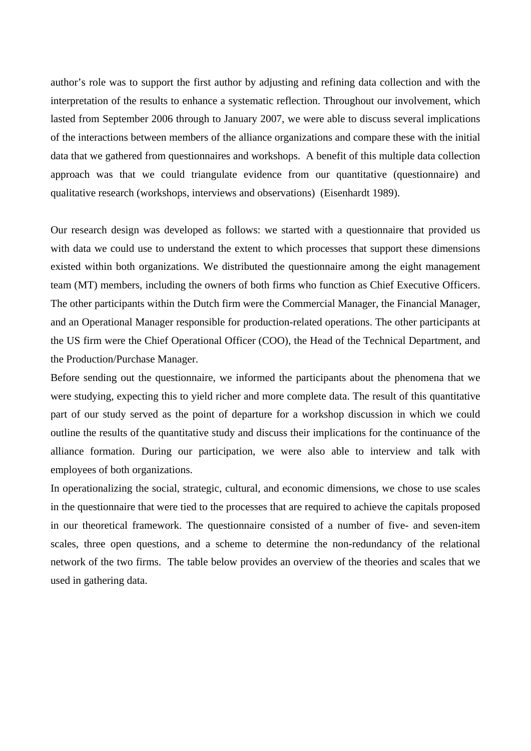author's role was to support the first author by adjusting and refining data collection and with the interpretation of the results to enhance a systematic reflection. Throughout our involvement, which lasted from September 2006 through to January 2007, we were able to discuss several implications of the interactions between members of the alliance organizations and compare these with the initial data that we gathered from questionnaires and workshops. A benefit of this multiple data collection approach was that we could triangulate evidence from our quantitative (questionnaire) and qualitative research (workshops, interviews and observations) (Eisenhardt 1989).

Our research design was developed as follows: we started with a questionnaire that provided us with data we could use to understand the extent to which processes that support these dimensions existed within both organizations. We distributed the questionnaire among the eight management team (MT) members, including the owners of both firms who function as Chief Executive Officers. The other participants within the Dutch firm were the Commercial Manager, the Financial Manager, and an Operational Manager responsible for production-related operations. The other participants at the US firm were the Chief Operational Officer (COO), the Head of the Technical Department, and the Production/Purchase Manager.

Before sending out the questionnaire, we informed the participants about the phenomena that we were studying, expecting this to yield richer and more complete data. The result of this quantitative part of our study served as the point of departure for a workshop discussion in which we could outline the results of the quantitative study and discuss their implications for the continuance of the alliance formation. During our participation, we were also able to interview and talk with employees of both organizations.

In operationalizing the social, strategic, cultural, and economic dimensions, we chose to use scales in the questionnaire that were tied to the processes that are required to achieve the capitals proposed in our theoretical framework. The questionnaire consisted of a number of five- and seven-item scales, three open questions, and a scheme to determine the non-redundancy of the relational network of the two firms. The table below provides an overview of the theories and scales that we used in gathering data.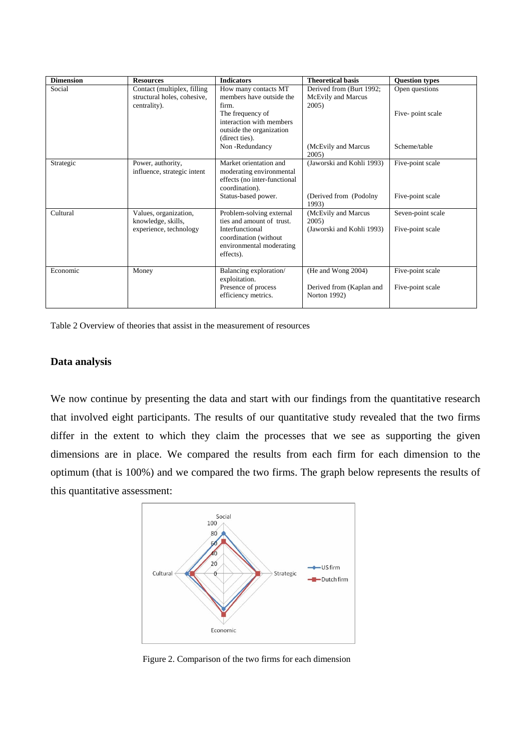| <b>Dimension</b> | <b>Resources</b>                                                            | <b>Indicators</b>                                                                                    | <b>Theoretical basis</b>                                | <b>Question types</b> |
|------------------|-----------------------------------------------------------------------------|------------------------------------------------------------------------------------------------------|---------------------------------------------------------|-----------------------|
| Social           | Contact (multiplex, filling)<br>structural holes, cohesive,<br>centrality). | How many contacts MT<br>members have outside the<br>firm.                                            | Derived from (Burt 1992;<br>McEvily and Marcus<br>2005) | Open questions        |
|                  |                                                                             | The frequency of<br>interaction with members<br>outside the organization<br>(direct ties).           |                                                         | Five-point scale      |
|                  |                                                                             | Non-Redundancy                                                                                       | (McEvily and Marcus<br>2005)                            | Scheme/table          |
| Strategic        | Power, authority,<br>influence, strategic intent                            | Market orientation and<br>moderating environmental<br>effects (no inter-functional<br>coordination). | (Jaworski and Kohli 1993)                               | Five-point scale      |
|                  |                                                                             | Status-based power.                                                                                  | (Derived from (Podolny)<br>1993)                        | Five-point scale      |
| Cultural         | Values, organization,<br>knowledge, skills,                                 | Problem-solving external<br>ties and amount of trust.                                                | (McEvily and Marcus<br>2005)                            | Seven-point scale     |
|                  | experience, technology                                                      | Interfunctional<br>coordination (without<br>environmental moderating<br>effects).                    | (Jaworski and Kohli 1993)                               | Five-point scale      |
| Economic         | Money                                                                       | Balancing exploration/<br>exploitation.                                                              | (He and Wong 2004)                                      | Five-point scale      |
|                  |                                                                             | Presence of process<br>efficiency metrics.                                                           | Derived from (Kaplan and<br>Norton 1992)                | Five-point scale      |

Table 2 Overview of theories that assist in the measurement of resources

# **Data analysis**

We now continue by presenting the data and start with our findings from the quantitative research that involved eight participants. The results of our quantitative study revealed that the two firms differ in the extent to which they claim the processes that we see as supporting the given dimensions are in place. We compared the results from each firm for each dimension to the optimum (that is 100%) and we compared the two firms. The graph below represents the results of this quantitative assessment:



Figure 2. Comparison of the two firms for each dimension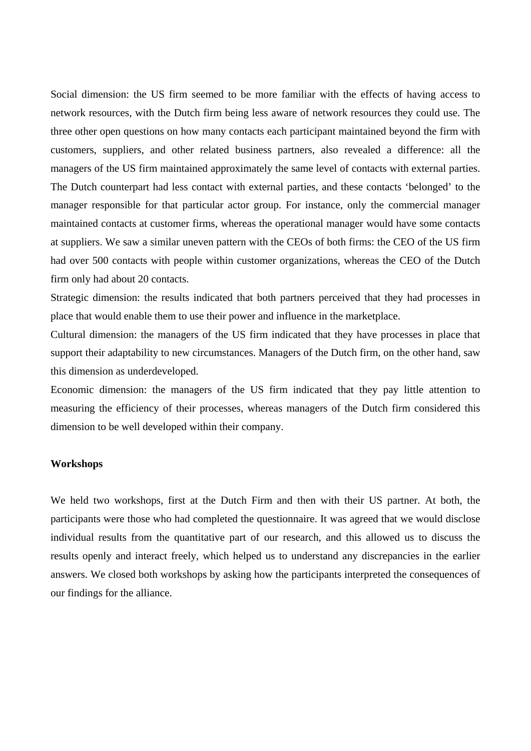Social dimension: the US firm seemed to be more familiar with the effects of having access to network resources, with the Dutch firm being less aware of network resources they could use. The three other open questions on how many contacts each participant maintained beyond the firm with customers, suppliers, and other related business partners, also revealed a difference: all the managers of the US firm maintained approximately the same level of contacts with external parties. The Dutch counterpart had less contact with external parties, and these contacts 'belonged' to the manager responsible for that particular actor group. For instance, only the commercial manager maintained contacts at customer firms, whereas the operational manager would have some contacts at suppliers. We saw a similar uneven pattern with the CEOs of both firms: the CEO of the US firm had over 500 contacts with people within customer organizations, whereas the CEO of the Dutch firm only had about 20 contacts.

Strategic dimension: the results indicated that both partners perceived that they had processes in place that would enable them to use their power and influence in the marketplace.

Cultural dimension: the managers of the US firm indicated that they have processes in place that support their adaptability to new circumstances. Managers of the Dutch firm, on the other hand, saw this dimension as underdeveloped.

Economic dimension: the managers of the US firm indicated that they pay little attention to measuring the efficiency of their processes, whereas managers of the Dutch firm considered this dimension to be well developed within their company.

#### **Workshops**

We held two workshops, first at the Dutch Firm and then with their US partner. At both, the participants were those who had completed the questionnaire. It was agreed that we would disclose individual results from the quantitative part of our research, and this allowed us to discuss the results openly and interact freely, which helped us to understand any discrepancies in the earlier answers. We closed both workshops by asking how the participants interpreted the consequences of our findings for the alliance.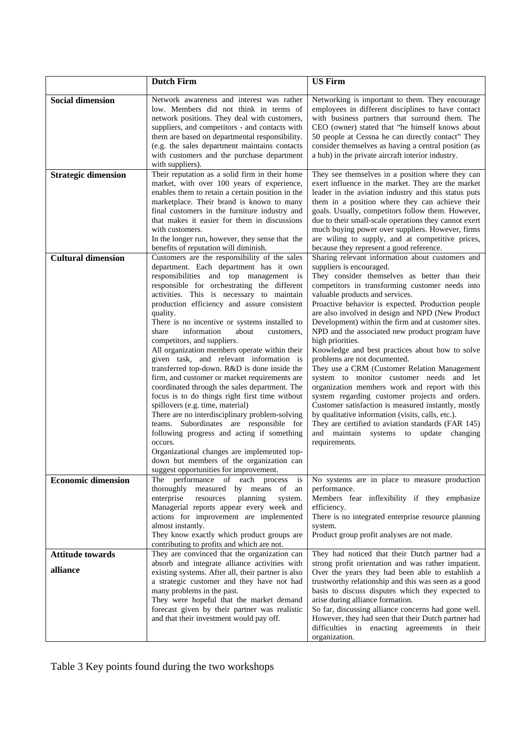|                                     | <b>Dutch Firm</b>                                                                                                                                                                                                                                                                                                                                                                                                                                                                                                                                                                                                                                                                                                                                                                                                                                                                                                                                                                                                                                      | <b>US Firm</b>                                                                                                                                                                                                                                                                                                                                                                                                                                                                                                                                                                                                                                                                                                                                                                                                                                                                                                                                                              |
|-------------------------------------|--------------------------------------------------------------------------------------------------------------------------------------------------------------------------------------------------------------------------------------------------------------------------------------------------------------------------------------------------------------------------------------------------------------------------------------------------------------------------------------------------------------------------------------------------------------------------------------------------------------------------------------------------------------------------------------------------------------------------------------------------------------------------------------------------------------------------------------------------------------------------------------------------------------------------------------------------------------------------------------------------------------------------------------------------------|-----------------------------------------------------------------------------------------------------------------------------------------------------------------------------------------------------------------------------------------------------------------------------------------------------------------------------------------------------------------------------------------------------------------------------------------------------------------------------------------------------------------------------------------------------------------------------------------------------------------------------------------------------------------------------------------------------------------------------------------------------------------------------------------------------------------------------------------------------------------------------------------------------------------------------------------------------------------------------|
| <b>Social dimension</b>             | Network awareness and interest was rather<br>low. Members did not think in terms of<br>network positions. They deal with customers,<br>suppliers, and competitors - and contacts with<br>them are based on departmental responsibility.<br>(e.g. the sales department maintains contacts<br>with customers and the purchase department<br>with suppliers).                                                                                                                                                                                                                                                                                                                                                                                                                                                                                                                                                                                                                                                                                             | Networking is important to them. They encourage<br>employees in different disciplines to have contact<br>with business partners that surround them. The<br>CEO (owner) stated that "he himself knows about<br>50 people at Cessna he can directly contact" They<br>consider themselves as having a central position (as<br>a hub) in the private aircraft interior industry.                                                                                                                                                                                                                                                                                                                                                                                                                                                                                                                                                                                                |
| <b>Strategic dimension</b>          | Their reputation as a solid firm in their home<br>market, with over 100 years of experience,<br>enables them to retain a certain position in the<br>marketplace. Their brand is known to many<br>final customers in the furniture industry and<br>that makes it easier for them in discussions<br>with customers.<br>In the longer run, however, they sense that the<br>benefits of reputation will diminish.                                                                                                                                                                                                                                                                                                                                                                                                                                                                                                                                                                                                                                          | They see themselves in a position where they can<br>exert influence in the market. They are the market<br>leader in the aviation industry and this status puts<br>them in a position where they can achieve their<br>goals. Usually, competitors follow them. However,<br>due to their small-scale operations they cannot exert<br>much buying power over suppliers. However, firms<br>are wiling to supply, and at competitive prices,<br>because they represent a good reference.                                                                                                                                                                                                                                                                                                                                                                                                                                                                                         |
| <b>Cultural dimension</b>           | Customers are the responsibility of the sales<br>department. Each department has it own<br>responsibilities and top management is<br>responsible for orchestrating the different<br>activities. This is necessary to maintain<br>production efficiency and assure consistent<br>quality.<br>There is no incentive or systems installed to<br>share<br>information<br>about<br>customers,<br>competitors, and suppliers.<br>All organization members operate within their<br>given task, and relevant information is<br>transferred top-down. R&D is done inside the<br>firm, and customer or market requirements are<br>coordinated through the sales department. The<br>focus is to do things right first time without<br>spillovers (e.g. time, material)<br>There are no interdisciplinary problem-solving<br>teams. Subordinates are responsible for<br>following progress and acting if something<br>occurs.<br>Organizational changes are implemented top-<br>down but members of the organization can<br>suggest opportunities for improvement. | Sharing relevant information about customers and<br>suppliers is encouraged.<br>They consider themselves as better than their<br>competitors in transforming customer needs into<br>valuable products and services.<br>Proactive behavior is expected. Production people<br>are also involved in design and NPD (New Product<br>Development) within the firm and at customer sites.<br>NPD and the associated new product program have<br>high priorities.<br>Knowledge and best practices about how to solve<br>problems are not documented.<br>They use a CRM (Customer Relation Management<br>system to monitor customer needs and let<br>organization members work and report with this<br>system regarding customer projects and orders.<br>Customer satisfaction is measured instantly, mostly<br>by qualitative information (visits, calls, etc.).<br>They are certified to aviation standards (FAR 145)<br>and maintain systems to update changing<br>requirements. |
| <b>Economic dimension</b>           | The performance of each process<br>$\frac{1}{1}$<br>thoroughly measured by means of an<br>enterprise<br>resources<br>planning<br>system.<br>Managerial reports appear every week and<br>actions for improvement are implemented<br>almost instantly.<br>They know exactly which product groups are<br>contributing to profits and which are not.                                                                                                                                                                                                                                                                                                                                                                                                                                                                                                                                                                                                                                                                                                       | No systems are in place to measure production<br>performance.<br>Members fear inflexibility if they emphasize<br>efficiency.<br>There is no integrated enterprise resource planning<br>system.<br>Product group profit analyses are not made.                                                                                                                                                                                                                                                                                                                                                                                                                                                                                                                                                                                                                                                                                                                               |
| <b>Attitude towards</b><br>alliance | They are convinced that the organization can<br>absorb and integrate alliance activities with<br>existing systems. After all, their partner is also<br>a strategic customer and they have not had<br>many problems in the past.<br>They were hopeful that the market demand<br>forecast given by their partner was realistic<br>and that their investment would pay off.                                                                                                                                                                                                                                                                                                                                                                                                                                                                                                                                                                                                                                                                               | They had noticed that their Dutch partner had a<br>strong profit orientation and was rather impatient.<br>Over the years they had been able to establish a<br>trustworthy relationship and this was seen as a good<br>basis to discuss disputes which they expected to<br>arise during alliance formation.<br>So far, discussing alliance concerns had gone well.<br>However, they had seen that their Dutch partner had<br>difficulties in enacting agreements in their<br>organization.                                                                                                                                                                                                                                                                                                                                                                                                                                                                                   |

Table 3 Key points found during the two workshops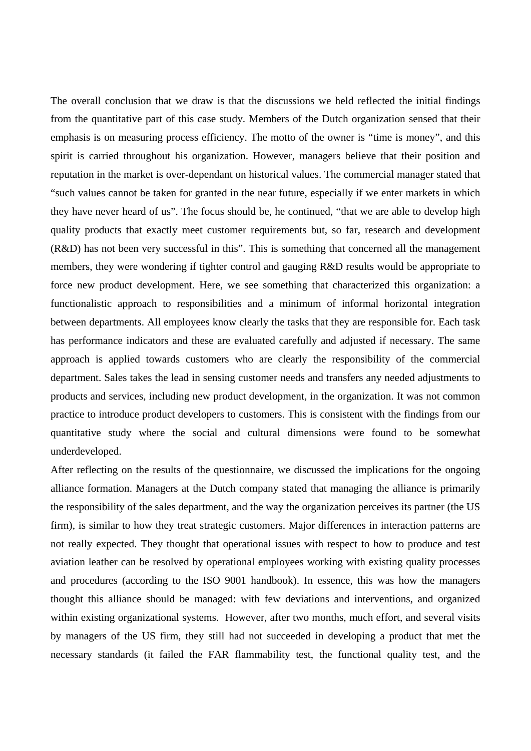The overall conclusion that we draw is that the discussions we held reflected the initial findings from the quantitative part of this case study. Members of the Dutch organization sensed that their emphasis is on measuring process efficiency. The motto of the owner is "time is money", and this spirit is carried throughout his organization. However, managers believe that their position and reputation in the market is over-dependant on historical values. The commercial manager stated that "such values cannot be taken for granted in the near future, especially if we enter markets in which they have never heard of us". The focus should be, he continued, "that we are able to develop high quality products that exactly meet customer requirements but, so far, research and development (R&D) has not been very successful in this". This is something that concerned all the management members, they were wondering if tighter control and gauging R&D results would be appropriate to force new product development. Here, we see something that characterized this organization: a functionalistic approach to responsibilities and a minimum of informal horizontal integration between departments. All employees know clearly the tasks that they are responsible for. Each task has performance indicators and these are evaluated carefully and adjusted if necessary. The same approach is applied towards customers who are clearly the responsibility of the commercial department. Sales takes the lead in sensing customer needs and transfers any needed adjustments to products and services, including new product development, in the organization. It was not common practice to introduce product developers to customers. This is consistent with the findings from our quantitative study where the social and cultural dimensions were found to be somewhat underdeveloped.

After reflecting on the results of the questionnaire, we discussed the implications for the ongoing alliance formation. Managers at the Dutch company stated that managing the alliance is primarily the responsibility of the sales department, and the way the organization perceives its partner (the US firm), is similar to how they treat strategic customers. Major differences in interaction patterns are not really expected. They thought that operational issues with respect to how to produce and test aviation leather can be resolved by operational employees working with existing quality processes and procedures (according to the ISO 9001 handbook). In essence, this was how the managers thought this alliance should be managed: with few deviations and interventions, and organized within existing organizational systems. However, after two months, much effort, and several visits by managers of the US firm, they still had not succeeded in developing a product that met the necessary standards (it failed the FAR flammability test, the functional quality test, and the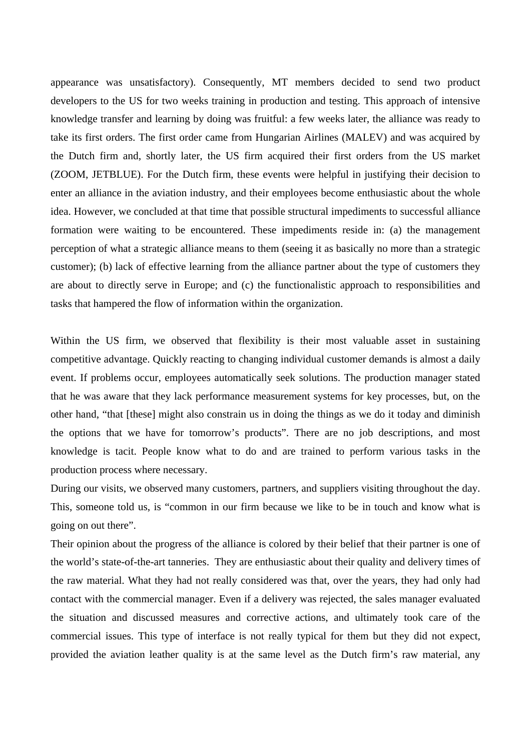appearance was unsatisfactory). Consequently, MT members decided to send two product developers to the US for two weeks training in production and testing. This approach of intensive knowledge transfer and learning by doing was fruitful: a few weeks later, the alliance was ready to take its first orders. The first order came from Hungarian Airlines (MALEV) and was acquired by the Dutch firm and, shortly later, the US firm acquired their first orders from the US market (ZOOM, JETBLUE). For the Dutch firm, these events were helpful in justifying their decision to enter an alliance in the aviation industry, and their employees become enthusiastic about the whole idea. However, we concluded at that time that possible structural impediments to successful alliance formation were waiting to be encountered. These impediments reside in: (a) the management perception of what a strategic alliance means to them (seeing it as basically no more than a strategic customer); (b) lack of effective learning from the alliance partner about the type of customers they are about to directly serve in Europe; and (c) the functionalistic approach to responsibilities and tasks that hampered the flow of information within the organization.

Within the US firm, we observed that flexibility is their most valuable asset in sustaining competitive advantage. Quickly reacting to changing individual customer demands is almost a daily event. If problems occur, employees automatically seek solutions. The production manager stated that he was aware that they lack performance measurement systems for key processes, but, on the other hand, "that [these] might also constrain us in doing the things as we do it today and diminish the options that we have for tomorrow's products". There are no job descriptions, and most knowledge is tacit. People know what to do and are trained to perform various tasks in the production process where necessary.

During our visits, we observed many customers, partners, and suppliers visiting throughout the day. This, someone told us, is "common in our firm because we like to be in touch and know what is going on out there".

Their opinion about the progress of the alliance is colored by their belief that their partner is one of the world's state-of-the-art tanneries. They are enthusiastic about their quality and delivery times of the raw material. What they had not really considered was that, over the years, they had only had contact with the commercial manager. Even if a delivery was rejected, the sales manager evaluated the situation and discussed measures and corrective actions, and ultimately took care of the commercial issues. This type of interface is not really typical for them but they did not expect, provided the aviation leather quality is at the same level as the Dutch firm's raw material, any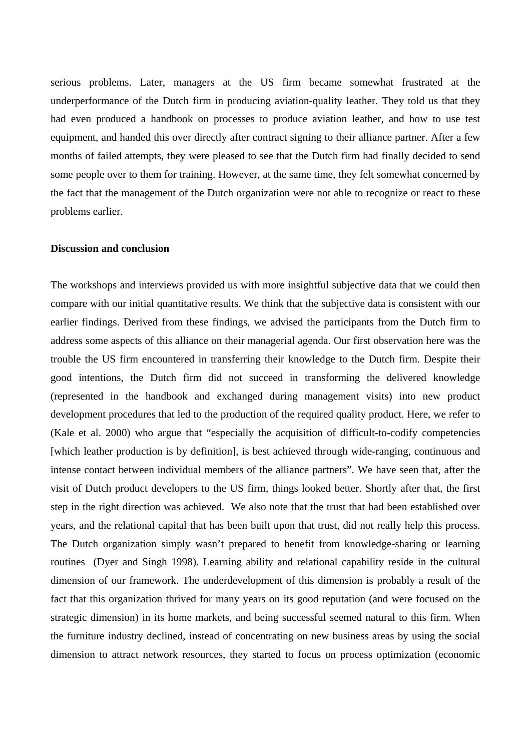serious problems. Later, managers at the US firm became somewhat frustrated at the underperformance of the Dutch firm in producing aviation-quality leather. They told us that they had even produced a handbook on processes to produce aviation leather, and how to use test equipment, and handed this over directly after contract signing to their alliance partner. After a few months of failed attempts, they were pleased to see that the Dutch firm had finally decided to send some people over to them for training. However, at the same time, they felt somewhat concerned by the fact that the management of the Dutch organization were not able to recognize or react to these problems earlier.

### **Discussion and conclusion**

The workshops and interviews provided us with more insightful subjective data that we could then compare with our initial quantitative results. We think that the subjective data is consistent with our earlier findings. Derived from these findings, we advised the participants from the Dutch firm to address some aspects of this alliance on their managerial agenda. Our first observation here was the trouble the US firm encountered in transferring their knowledge to the Dutch firm. Despite their good intentions, the Dutch firm did not succeed in transforming the delivered knowledge (represented in the handbook and exchanged during management visits) into new product development procedures that led to the production of the required quality product. Here, we refer to (Kale et al. 2000) who argue that "especially the acquisition of difficult-to-codify competencies [which leather production is by definition], is best achieved through wide-ranging, continuous and intense contact between individual members of the alliance partners". We have seen that, after the visit of Dutch product developers to the US firm, things looked better. Shortly after that, the first step in the right direction was achieved. We also note that the trust that had been established over years, and the relational capital that has been built upon that trust, did not really help this process. The Dutch organization simply wasn't prepared to benefit from knowledge-sharing or learning routines (Dyer and Singh 1998). Learning ability and relational capability reside in the cultural dimension of our framework. The underdevelopment of this dimension is probably a result of the fact that this organization thrived for many years on its good reputation (and were focused on the strategic dimension) in its home markets, and being successful seemed natural to this firm. When the furniture industry declined, instead of concentrating on new business areas by using the social dimension to attract network resources, they started to focus on process optimization (economic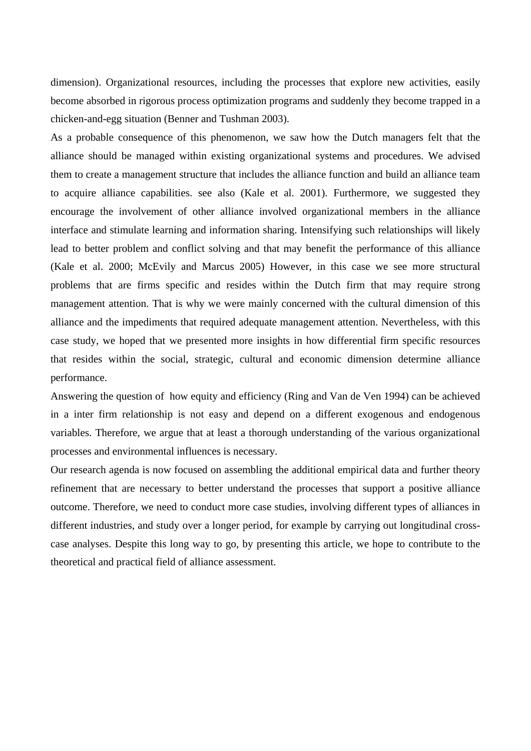dimension). Organizational resources, including the processes that explore new activities, easily become absorbed in rigorous process optimization programs and suddenly they become trapped in a chicken-and-egg situation (Benner and Tushman 2003).

As a probable consequence of this phenomenon, we saw how the Dutch managers felt that the alliance should be managed within existing organizational systems and procedures. We advised them to create a management structure that includes the alliance function and build an alliance team to acquire alliance capabilities. see also (Kale et al. 2001). Furthermore, we suggested they encourage the involvement of other alliance involved organizational members in the alliance interface and stimulate learning and information sharing. Intensifying such relationships will likely lead to better problem and conflict solving and that may benefit the performance of this alliance (Kale et al. 2000; McEvily and Marcus 2005) However, in this case we see more structural problems that are firms specific and resides within the Dutch firm that may require strong management attention. That is why we were mainly concerned with the cultural dimension of this alliance and the impediments that required adequate management attention. Nevertheless, with this case study, we hoped that we presented more insights in how differential firm specific resources that resides within the social, strategic, cultural and economic dimension determine alliance performance.

Answering the question of how equity and efficiency (Ring and Van de Ven 1994) can be achieved in a inter firm relationship is not easy and depend on a different exogenous and endogenous variables. Therefore, we argue that at least a thorough understanding of the various organizational processes and environmental influences is necessary.

Our research agenda is now focused on assembling the additional empirical data and further theory refinement that are necessary to better understand the processes that support a positive alliance outcome. Therefore, we need to conduct more case studies, involving different types of alliances in different industries, and study over a longer period, for example by carrying out longitudinal crosscase analyses. Despite this long way to go, by presenting this article, we hope to contribute to the theoretical and practical field of alliance assessment.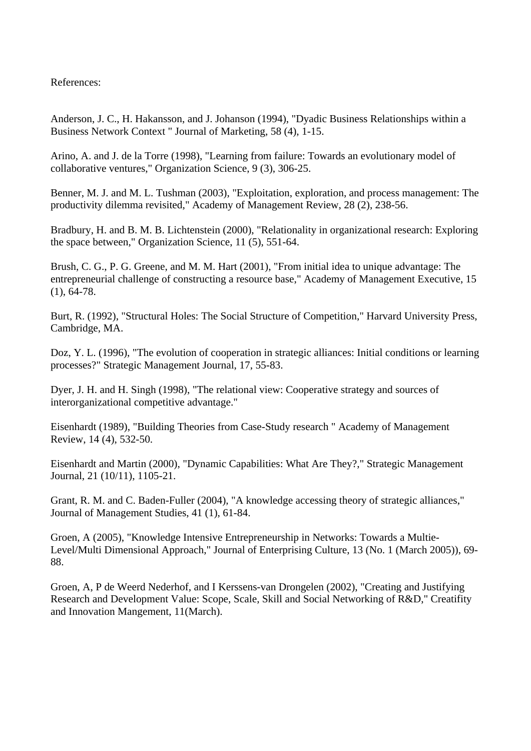# References:

Anderson, J. C., H. Hakansson, and J. Johanson (1994), "Dyadic Business Relationships within a Business Network Context " Journal of Marketing, 58 (4), 1-15.

Arino, A. and J. de la Torre (1998), "Learning from failure: Towards an evolutionary model of collaborative ventures," Organization Science, 9 (3), 306-25.

Benner, M. J. and M. L. Tushman (2003), "Exploitation, exploration, and process management: The productivity dilemma revisited," Academy of Management Review, 28 (2), 238-56.

Bradbury, H. and B. M. B. Lichtenstein (2000), "Relationality in organizational research: Exploring the space between," Organization Science, 11 (5), 551-64.

Brush, C. G., P. G. Greene, and M. M. Hart (2001), "From initial idea to unique advantage: The entrepreneurial challenge of constructing a resource base," Academy of Management Executive, 15 (1), 64-78.

Burt, R. (1992), "Structural Holes: The Social Structure of Competition," Harvard University Press, Cambridge, MA.

Doz, Y. L. (1996), "The evolution of cooperation in strategic alliances: Initial conditions or learning processes?" Strategic Management Journal, 17, 55-83.

Dyer, J. H. and H. Singh (1998), "The relational view: Cooperative strategy and sources of interorganizational competitive advantage."

Eisenhardt (1989), "Building Theories from Case-Study research " Academy of Management Review, 14 (4), 532-50.

Eisenhardt and Martin (2000), "Dynamic Capabilities: What Are They?," Strategic Management Journal, 21 (10/11), 1105-21.

Grant, R. M. and C. Baden-Fuller (2004), "A knowledge accessing theory of strategic alliances," Journal of Management Studies, 41 (1), 61-84.

Groen, A (2005), "Knowledge Intensive Entrepreneurship in Networks: Towards a Multie-Level/Multi Dimensional Approach," Journal of Enterprising Culture, 13 (No. 1 (March 2005)), 69- 88.

Groen, A, P de Weerd Nederhof, and I Kerssens-van Drongelen (2002), "Creating and Justifying Research and Development Value: Scope, Scale, Skill and Social Networking of R&D," Creatifity and Innovation Mangement, 11(March).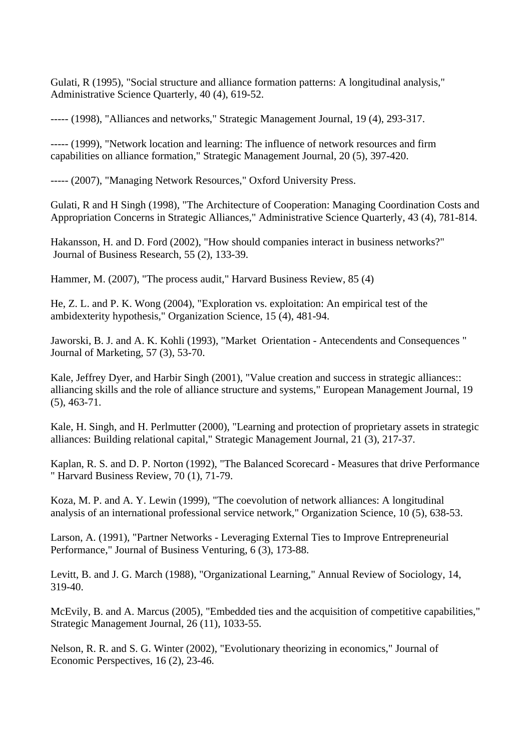Gulati, R (1995), "Social structure and alliance formation patterns: A longitudinal analysis," Administrative Science Quarterly, 40 (4), 619-52.

----- (1998), "Alliances and networks," Strategic Management Journal, 19 (4), 293-317.

----- (1999), "Network location and learning: The influence of network resources and firm capabilities on alliance formation," Strategic Management Journal, 20 (5), 397-420.

----- (2007), "Managing Network Resources," Oxford University Press.

Gulati, R and H Singh (1998), "The Architecture of Cooperation: Managing Coordination Costs and Appropriation Concerns in Strategic Alliances," Administrative Science Quarterly, 43 (4), 781-814.

Hakansson, H. and D. Ford (2002), "How should companies interact in business networks?" Journal of Business Research, 55 (2), 133-39.

Hammer, M. (2007), "The process audit," Harvard Business Review, 85 (4)

He, Z. L. and P. K. Wong (2004), "Exploration vs. exploitation: An empirical test of the ambidexterity hypothesis," Organization Science, 15 (4), 481-94.

Jaworski, B. J. and A. K. Kohli (1993), "Market Orientation - Antecendents and Consequences " Journal of Marketing, 57 (3), 53-70.

Kale, Jeffrey Dyer, and Harbir Singh (2001), "Value creation and success in strategic alliances:: alliancing skills and the role of alliance structure and systems," European Management Journal, 19 (5), 463-71.

Kale, H. Singh, and H. Perlmutter (2000), "Learning and protection of proprietary assets in strategic alliances: Building relational capital," Strategic Management Journal, 21 (3), 217-37.

Kaplan, R. S. and D. P. Norton (1992), "The Balanced Scorecard - Measures that drive Performance " Harvard Business Review, 70 (1), 71-79.

Koza, M. P. and A. Y. Lewin (1999), "The coevolution of network alliances: A longitudinal analysis of an international professional service network," Organization Science, 10 (5), 638-53.

Larson, A. (1991), "Partner Networks - Leveraging External Ties to Improve Entrepreneurial Performance," Journal of Business Venturing, 6 (3), 173-88.

Levitt, B. and J. G. March (1988), "Organizational Learning," Annual Review of Sociology, 14, 319-40.

McEvily, B. and A. Marcus (2005), "Embedded ties and the acquisition of competitive capabilities," Strategic Management Journal, 26 (11), 1033-55.

Nelson, R. R. and S. G. Winter (2002), "Evolutionary theorizing in economics," Journal of Economic Perspectives, 16 (2), 23-46.